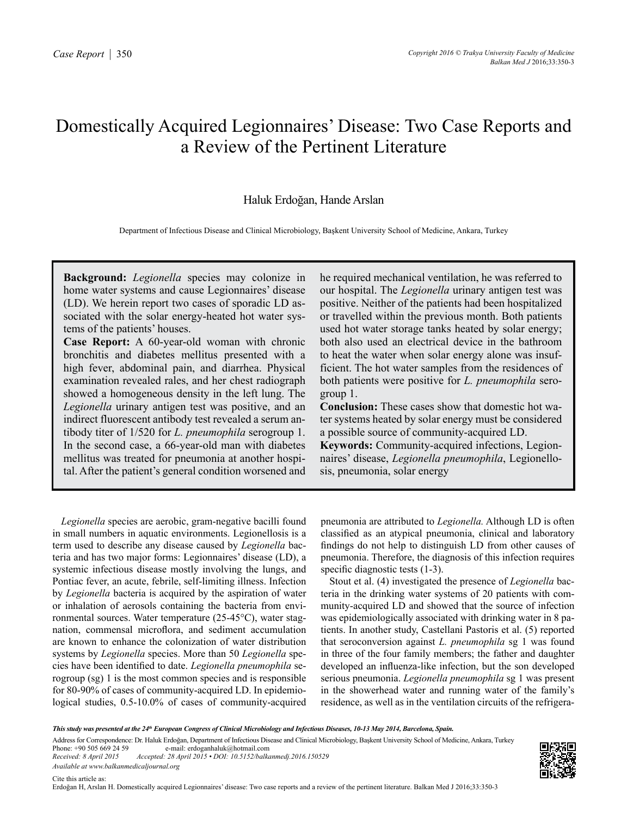# Domestically Acquired Legionnaires' Disease: Two Case Reports and a Review of the Pertinent Literature

## Haluk Erdoğan, Hande Arslan

Department of Infectious Disease and Clinical Microbiology, Başkent University School of Medicine, Ankara, Turkey

**Background:** *Legionella* species may colonize in home water systems and cause Legionnaires' disease (LD). We herein report two cases of sporadic LD associated with the solar energy-heated hot water systems of the patients' houses.

**Case Report:** A 60-year-old woman with chronic bronchitis and diabetes mellitus presented with a high fever, abdominal pain, and diarrhea. Physical examination revealed rales, and her chest radiograph showed a homogeneous density in the left lung. The *Legionella* urinary antigen test was positive, and an indirect fluorescent antibody test revealed a serum antibody titer of 1/520 for *L. pneumophila* serogroup 1. In the second case, a 66-year-old man with diabetes mellitus was treated for pneumonia at another hospital. After the patient's general condition worsened and he required mechanical ventilation, he was referred to our hospital. The *Legionella* urinary antigen test was positive. Neither of the patients had been hospitalized or travelled within the previous month. Both patients used hot water storage tanks heated by solar energy; both also used an electrical device in the bathroom to heat the water when solar energy alone was insufficient. The hot water samples from the residences of both patients were positive for *L. pneumophila* serogroup 1.

**Conclusion:** These cases show that domestic hot water systems heated by solar energy must be considered a possible source of community-acquired LD. **Keywords:** Community-acquired infections, Legion-

naires' disease, *Legionella pneumophila*, Legionellosis, pneumonia, solar energy

*Legionella* species are aerobic, gram-negative bacilli found in small numbers in aquatic environments. Legionellosis is a term used to describe any disease caused by *Legionella* bacteria and has two major forms: Legionnaires' disease (LD), a systemic infectious disease mostly involving the lungs, and Pontiac fever, an acute, febrile, self-limiting illness. Infection by *Legionella* bacteria is acquired by the aspiration of water or inhalation of aerosols containing the bacteria from environmental sources. Water temperature (25-45°C), water stagnation, commensal microflora, and sediment accumulation are known to enhance the colonization of water distribution systems by *Legionella* species. More than 50 *Legionella* species have been identified to date. *Legionella pneumophila* serogroup (sg) 1 is the most common species and is responsible for 80-90% of cases of community-acquired LD. In epidemiological studies, 0.5-10.0% of cases of community-acquired pneumonia are attributed to *Legionella.* Although LD is often classified as an atypical pneumonia, clinical and laboratory findings do not help to distinguish LD from other causes of pneumonia. Therefore, the diagnosis of this infection requires specific diagnostic tests  $(1-3)$ .

Stout et al. (4) investigated the presence of *Legionella* bacteria in the drinking water systems of 20 patients with community-acquired LD and showed that the source of infection was epidemiologically associated with drinking water in 8 patients. In another study, Castellani Pastoris et al. (5) reported that seroconversion against *L. pneumophila* sg 1 was found in three of the four family members; the father and daughter developed an influenza-like infection, but the son developed serious pneumonia. *Legionella pneumophila* sg 1 was present in the showerhead water and running water of the family's residence, as well as in the ventilation circuits of the refrigera-

Phone: +90 505 669 24 59 e-mail: erdoganhaluk@hotmail.com<br>Received: 8 April 2015 Accepted: 28 April 2015 • DOI: 10.5152/balka *Received: 8 April 2015 Accepted: 28 April 2015 • DOI: 10.5152/balkanmedj.2016.150529 Available at www.balkanmedicaljournal.org*



*This study was presented at the 24th European Congress of Clinical Microbiology and Infectious Diseases, 10-13 May 2014, Barcelona, Spain.*

Address for Correspondence: Dr. Haluk Erdoğan, Department of Infectious Disease and Clinical Microbiology, Başkent University School of Medicine, Ankara, Turkey<br>Phone: +90 505 669 24 59 e-mail: erdoganhaluk@hotmail.com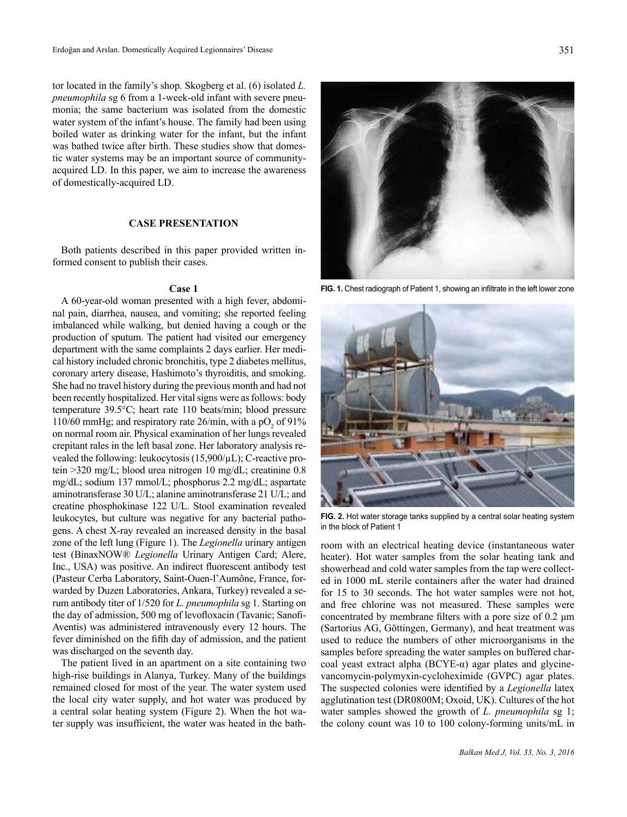tor located in the family's shop. Skogberg et al. (6) isolated *L. pneumophila* sg 6 from a 1-week-old infant with severe pneumonia; the same bacterium was isolated from the domestic water system of the infant's house. The family had been using boiled water as drinking water for the infant, but the infant was bathed twice after birth. These studies show that domestic water systems may be an important source of communityacquired LD. In this paper, we aim to increase the awareness of domestically-acquired LD.

#### **CASE PRESENTATION**

Both patients described in this paper provided written informed consent to publish their cases.

### **Case 1**

A 60-year-old woman presented with a high fever, abdominal pain, diarrhea, nausea, and vomiting; she reported feeling imbalanced while walking, but denied having a cough or the production of sputum. The patient had visited our emergency department with the same complaints 2 days earlier. Her medical history included chronic bronchitis, type 2 diabetes mellitus, coronary artery disease, Hashimoto's thyroiditis, and smoking. She had no travel history during the previous month and had not been recently hospitalized. Her vital signs were as follows: body temperature 39.5°C; heart rate 110 beats/min; blood pressure 110/60 mmHg; and respiratory rate  $26$ /min, with a pO<sub>2</sub> of 91% on normal room air. Physical examination of her lungs revealed crepitant rales in the left basal zone. Her laboratory analysis revealed the following: leukocytosis (15,900/µL); C-reactive protein >320 mg/L; blood urea nitrogen 10 mg/dL; creatinine 0.8 mg/dL; sodium 137 mmol/L; phosphorus 2.2 mg/dL; aspartate aminotransferase 30 U/L; alanine aminotransferase 21 U/L; and creatine phosphokinase 122 U/L. Stool examination revealed leukocytes, but culture was negative for any bacterial pathogens. A chest X-ray revealed an increased density in the basal zone of the left lung (Figure 1). The *Legionella* urinary antigen test (BinaxNOW® *Legionella* Urinary Antigen Card; Alere, Inc., USA) was positive. An indirect fluorescent antibody test (Pasteur Cerba Laboratory, Saint-Ouen-l'Aumône, France, forwarded by Duzen Laboratories, Ankara, Turkey) revealed a serum antibody titer of 1/520 for *L. pneumophila* sg 1. Starting on the day of admission, 500 mg of levofloxacin (Tavanic; Sanofi-Aventis) was administered intravenously every 12 hours. The fever diminished on the fifth day of admission, and the patient was discharged on the seventh day.

The patient lived in an apartment on a site containing two high-rise buildings in Alanya, Turkey. Many of the buildings remained closed for most of the year. The water system used the local city water supply, and hot water was produced by a central solar heating system (Figure 2). When the hot water supply was insufficient, the water was heated in the bath-



**FIG. 1.** Chest radiograph of Patient 1, showing an infiltrate in the left lower zone



**FIG. 2.** Hot water storage tanks supplied by a central solar heating system in the block of Patient 1

room with an electrical heating device (instantaneous water heater). Hot water samples from the solar heating tank and showerhead and cold water samples from the tap were collected in 1000 mL sterile containers after the water had drained for 15 to 30 seconds. The hot water samples were not hot, and free chlorine was not measured. These samples were concentrated by membrane filters with a pore size of 0.2 μm (Sartorius AG, Göttingen, Germany), and heat treatment was used to reduce the numbers of other microorganisms in the samples before spreading the water samples on buffered charcoal yeast extract alpha ( $BCYE-\alpha$ ) agar plates and glycinevancomycin-polymyxin-cycloheximide (GVPC) agar plates. The suspected colonies were identified by a *Legionella* latex agglutination test (DR0800M; Oxoid, UK). Cultures of the hot water samples showed the growth of *L. pneumophila* sg 1; the colony count was 10 to 100 colony-forming units/mL in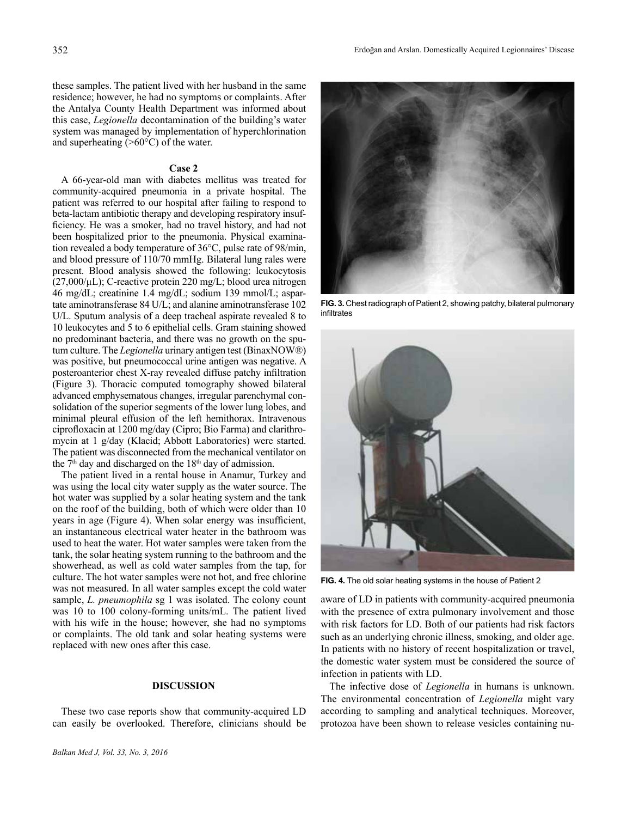these samples. The patient lived with her husband in the same residence; however, he had no symptoms or complaints. After the Antalya County Health Department was informed about this case, *Legionella* decontamination of the building's water system was managed by implementation of hyperchlorination and superheating  $(>60^{\circ}C)$  of the water.

#### **Case 2**

A 66-year-old man with diabetes mellitus was treated for community-acquired pneumonia in a private hospital. The patient was referred to our hospital after failing to respond to beta-lactam antibiotic therapy and developing respiratory insufficiency. He was a smoker, had no travel history, and had not been hospitalized prior to the pneumonia. Physical examination revealed a body temperature of 36°C, pulse rate of 98/min, and blood pressure of 110/70 mmHg. Bilateral lung rales were present. Blood analysis showed the following: leukocytosis  $(27,000/\mu L)$ ; C-reactive protein 220 mg/L; blood urea nitrogen 46 mg/dL; creatinine 1.4 mg/dL; sodium 139 mmol/L; aspartate aminotransferase 84 U/L; and alanine aminotransferase 102 U/L. Sputum analysis of a deep tracheal aspirate revealed 8 to 10 leukocytes and 5 to 6 epithelial cells. Gram staining showed no predominant bacteria, and there was no growth on the sputum culture. The *Legionella* urinary antigen test (BinaxNOW®) was positive, but pneumococcal urine antigen was negative. A posteroanterior chest X-ray revealed diffuse patchy infiltration (Figure 3). Thoracic computed tomography showed bilateral advanced emphysematous changes, irregular parenchymal consolidation of the superior segments of the lower lung lobes, and minimal pleural effusion of the left hemithorax. Intravenous ciprofloxacin at 1200 mg/day (Cipro; Bio Farma) and clarithromycin at 1 g/day (Klacid; Abbott Laboratories) were started. The patient was disconnected from the mechanical ventilator on the  $7<sup>th</sup>$  day and discharged on the  $18<sup>th</sup>$  day of admission.

The patient lived in a rental house in Anamur, Turkey and was using the local city water supply as the water source. The hot water was supplied by a solar heating system and the tank on the roof of the building, both of which were older than 10 years in age (Figure 4). When solar energy was insufficient, an instantaneous electrical water heater in the bathroom was used to heat the water. Hot water samples were taken from the tank, the solar heating system running to the bathroom and the showerhead, as well as cold water samples from the tap, for culture. The hot water samples were not hot, and free chlorine was not measured. In all water samples except the cold water sample, *L. pneumophila* sg 1 was isolated. The colony count was 10 to 100 colony-forming units/mL. The patient lived with his wife in the house; however, she had no symptoms or complaints. The old tank and solar heating systems were replaced with new ones after this case.

#### **DISCUSSION**

These two case reports show that community-acquired LD can easily be overlooked. Therefore, clinicians should be



**FIG. 3.** Chest radiograph of Patient 2, showing patchy, bilateral pulmonary infiltrates



**FIG. 4.** The old solar heating systems in the house of Patient 2

aware of LD in patients with community-acquired pneumonia with the presence of extra pulmonary involvement and those with risk factors for LD. Both of our patients had risk factors such as an underlying chronic illness, smoking, and older age. In patients with no history of recent hospitalization or travel, the domestic water system must be considered the source of infection in patients with LD.

The infective dose of *Legionella* in humans is unknown. The environmental concentration of *Legionella* might vary according to sampling and analytical techniques. Moreover, protozoa have been shown to release vesicles containing nu-